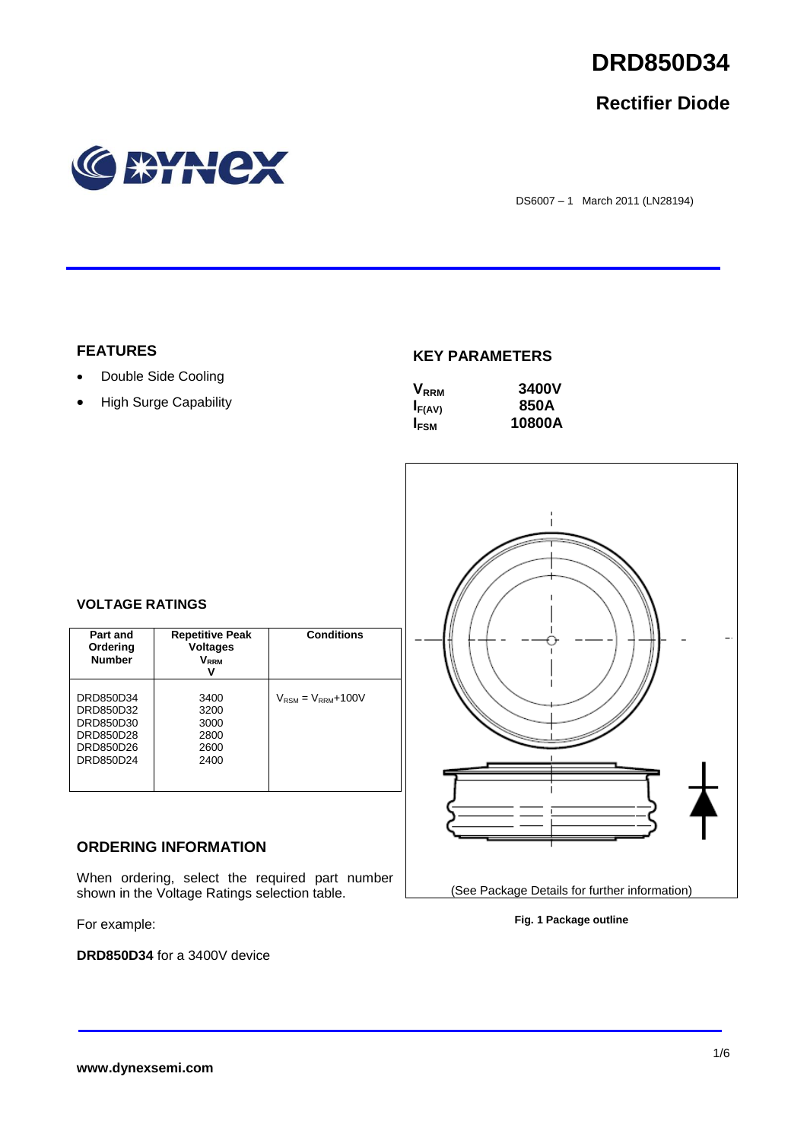

## **Rectifier Diode**



DS6007 – 1 March 2011 (LN28194)

## **FEATURES**

- Double Side Cooling
- High Surge Capability

## **KEY PARAMETERS**

| $V_{RRM}$   | 3400V  |
|-------------|--------|
| $I_{F(AV)}$ | 850A   |
| $I_{FSM}$   | 10800A |



(See Package Details for further information)

## **VOLTAGE RATINGS**

| Part and<br>Ordering<br><b>Number</b>                                      | <b>Repetitive Peak</b><br><b>Voltages</b><br>V <sub>rrm</sub><br>v | <b>Conditions</b>                        |
|----------------------------------------------------------------------------|--------------------------------------------------------------------|------------------------------------------|
| DRD850D34<br>DRD850D32<br>DRD850D30<br>DRD850D28<br>DRD850D26<br>DRD850D24 | 3400<br>3200<br>3000<br>2800<br>2600<br>2400                       | $V_{\text{RSM}} = V_{\text{RRM}} + 100V$ |

## **ORDERING INFORMATION**

When ordering, select the required part number shown in the Voltage Ratings selection table.

For example:

**DRD850D34** for a 3400V device

**Fig. 1 Package outline**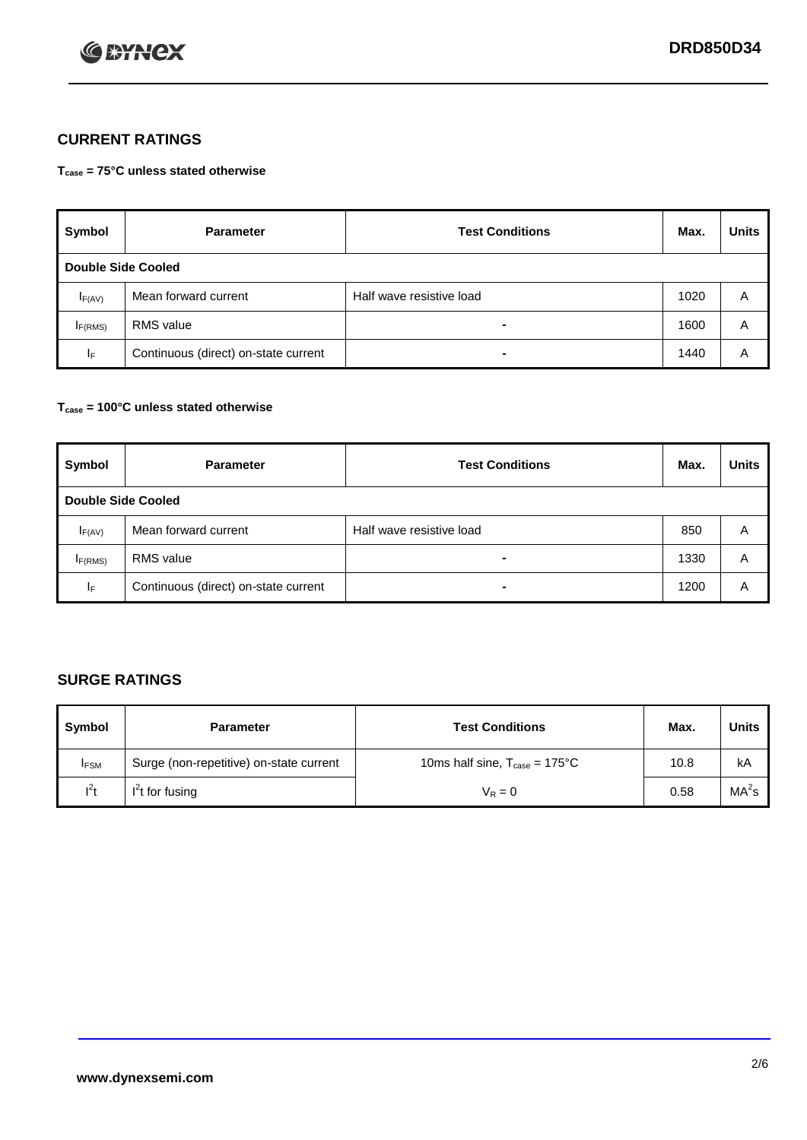

## **CURRENT RATINGS**

**Tcase = 75°C unless stated otherwise**

| Symbol                    | <b>Parameter</b>                     | <b>Test Conditions</b>   | Max. | <b>Units</b> |  |
|---------------------------|--------------------------------------|--------------------------|------|--------------|--|
| <b>Double Side Cooled</b> |                                      |                          |      |              |  |
| $I_{F(AV)}$               | Mean forward current                 | Half wave resistive load | 1020 | A            |  |
| IF(RMS)                   | <b>RMS</b> value                     | $\blacksquare$           | 1600 | A            |  |
| IF.                       | Continuous (direct) on-state current | -                        | 1440 | Α            |  |

### **Tcase = 100°C unless stated otherwise**

| Symbol              | <b>Parameter</b>                     | <b>Test Conditions</b>   | Max. | <b>Units</b> |  |  |
|---------------------|--------------------------------------|--------------------------|------|--------------|--|--|
|                     | <b>Double Side Cooled</b>            |                          |      |              |  |  |
| $I_{F(AV)}$         | Mean forward current                 | Half wave resistive load | 850  | A            |  |  |
| I <sub>F(RMS)</sub> | <b>RMS</b> value                     | $\blacksquare$           | 1330 | A            |  |  |
| ΙF                  | Continuous (direct) on-state current | ۰                        | 1200 | A            |  |  |

## **SURGE RATINGS**

| Symbol      | <b>Parameter</b>                        | <b>Test Conditions</b>                            | Max. | <b>Units</b>      |
|-------------|-----------------------------------------|---------------------------------------------------|------|-------------------|
| <b>IFSM</b> | Surge (non-repetitive) on-state current | 10ms half sine, $T_{\text{case}} = 175^{\circ}$ C | 10.8 | kA                |
| $l^2t$      | I <sup>'</sup> t for fusing             | $V_R = 0$                                         | 0.58 | MA <sup>2</sup> s |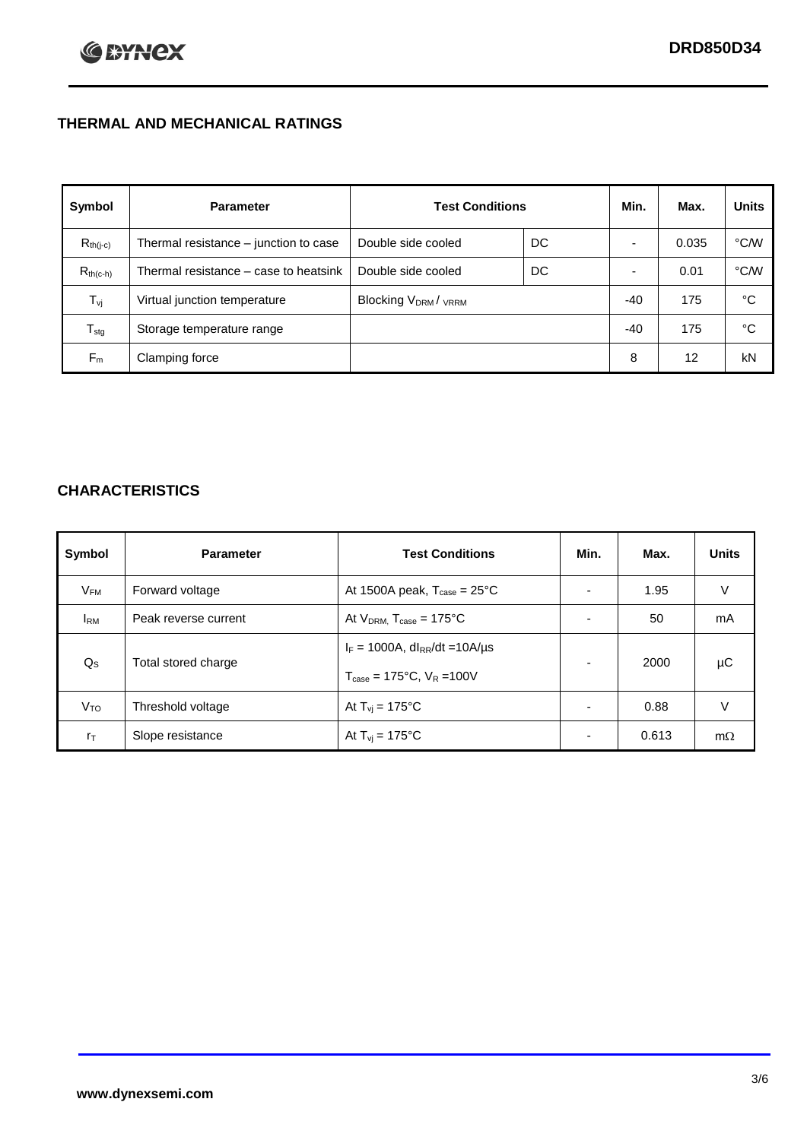## **THERMAL AND MECHANICAL RATINGS**

| Symbol           | <b>Parameter</b>                      | <b>Test Conditions</b>                      |    | Min.  | Max.  | <b>Units</b> |
|------------------|---------------------------------------|---------------------------------------------|----|-------|-------|--------------|
| $R_{th(j-c)}$    | Thermal resistance - junction to case | Double side cooled                          | DC |       | 0.035 | °C/W         |
| $R_{th(c-h)}$    | Thermal resistance – case to heatsink | Double side cooled                          | DC |       | 0.01  | °C/W         |
| $T_{\rm vj}$     | Virtual junction temperature          | Blocking V <sub>DRM</sub> / <sub>VRRM</sub> |    | -40   | 175   | °C           |
| $T_{\text{stg}}$ | Storage temperature range             |                                             |    | $-40$ | 175   | °C           |
| $F_m$            | Clamping force                        |                                             |    | 8     | 12    | kN           |

## **CHARACTERISTICS**

| Symbol                   | <b>Parameter</b>     | <b>Test Conditions</b>                                                                           | Min.           | Max.  | <b>Units</b> |
|--------------------------|----------------------|--------------------------------------------------------------------------------------------------|----------------|-------|--------------|
| $\mathsf{V}_\mathsf{FM}$ | Forward voltage      | At 1500A peak, $T_{\text{case}} = 25^{\circ}C$                                                   |                | 1.95  | V            |
| <b>I</b> <sub>RM</sub>   | Peak reverse current | At $V_{DRM}$ , $T_{case} = 175^{\circ}C$                                                         | ۰              | 50    | mA           |
| $Q_{\rm S}$              | Total stored charge  | $I_F = 1000A$ , dl <sub>RR</sub> /dt = 10A/us<br>$T_{\text{case}} = 175^{\circ}C$ , $V_R = 100V$ | $\blacksquare$ | 2000  | μC           |
| V <sub>TO</sub>          | Threshold voltage    | At $T_{vi} = 175^{\circ}C$                                                                       | $\blacksquare$ | 0.88  | V            |
| $r_{\text{T}}$           | Slope resistance     | At $T_{vi} = 175^{\circ}C$                                                                       | ۰.             | 0.613 | $m\Omega$    |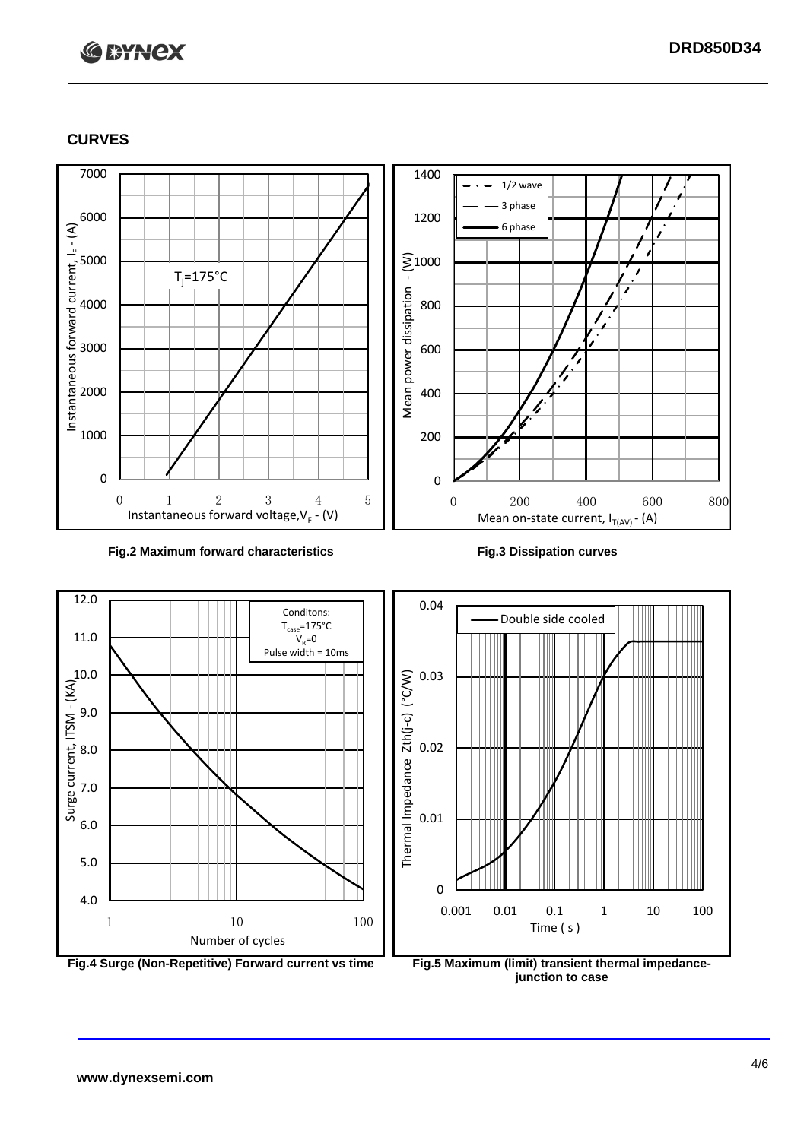# **C BYNCX**

## **CURVES**



### **Fig.2 Maximum forward characteristics Fig.3 Dissipation curves**



**junction to case**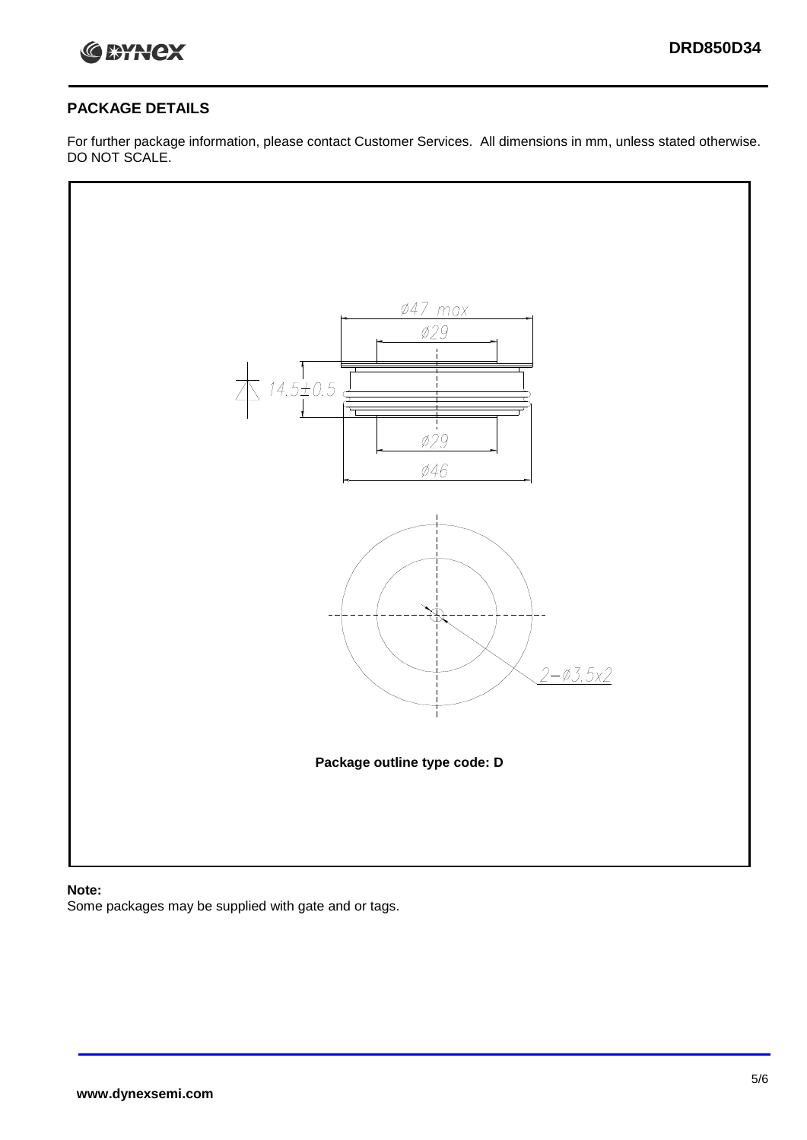

## **PACKAGE DETAILS**

For further package information, please contact Customer Services. All dimensions in mm, unless stated otherwise. DO NOT SCALE.



## **Note:**

Some packages may be supplied with gate and or tags.